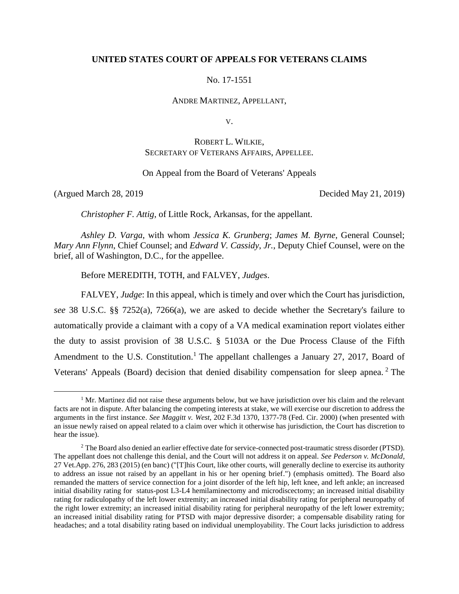# **UNITED STATES COURT OF APPEALS FOR VETERANS CLAIMS**

No. 17-1551

ANDRE MARTINEZ, APPELLANT,

V.

# ROBERT L. WILKIE, SECRETARY OF VETERANS AFFAIRS, APPELLEE.

On Appeal from the Board of Veterans' Appeals

 $\overline{a}$ 

(Argued March 28, 2019 Decided May 21, 2019)

*Christopher F. Attig*, of Little Rock, Arkansas, for the appellant.

*Ashley D. Varga*, with whom *Jessica K. Grunberg*; *James M. Byrne*, General Counsel; *Mary Ann Flynn*, Chief Counsel; and *Edward V. Cassidy*, *Jr.*, Deputy Chief Counsel, were on the brief, all of Washington, D.C., for the appellee.

Before MEREDITH, TOTH, and FALVEY, *Judges*.

FALVEY, *Judge*: In this appeal, which is timely and over which the Court has jurisdiction, *see* 38 U.S.C. §§ 7252(a), 7266(a), we are asked to decide whether the Secretary's failure to automatically provide a claimant with a copy of a VA medical examination report violates either the duty to assist provision of 38 U.S.C. § 5103A or the Due Process Clause of the Fifth Amendment to the U.S. Constitution.<sup>1</sup> The appellant challenges a January 27, 2017, Board of Veterans' Appeals (Board) decision that denied disability compensation for sleep apnea.<sup>2</sup> The

 $1$  Mr. Martinez did not raise these arguments below, but we have jurisdiction over his claim and the relevant facts are not in dispute. After balancing the competing interests at stake, we will exercise our discretion to address the arguments in the first instance. *See Maggitt v. West*, 202 F.3d 1370, 1377-78 (Fed. Cir. 2000) (when presented with an issue newly raised on appeal related to a claim over which it otherwise has jurisdiction, the Court has discretion to hear the issue).

 $2$  The Board also denied an earlier effective date for service-connected post-traumatic stress disorder (PTSD). The appellant does not challenge this denial, and the Court will not address it on appeal. *See Pederson v. McDonald*, 27 Vet.App. 276, 283 (2015) (en banc) ("[T]his Court, like other courts, will generally decline to exercise its authority to address an issue not raised by an appellant in his or her opening brief.") (emphasis omitted). The Board also remanded the matters of service connection for a joint disorder of the left hip, left knee, and left ankle; an increased initial disability rating for status-post L3-L4 hemilaminectomy and microdiscectomy; an increased initial disability rating for radiculopathy of the left lower extremity; an increased initial disability rating for peripheral neuropathy of the right lower extremity; an increased initial disability rating for peripheral neuropathy of the left lower extremity; an increased initial disability rating for PTSD with major depressive disorder; a compensable disability rating for headaches; and a total disability rating based on individual unemployability. The Court lacks jurisdiction to address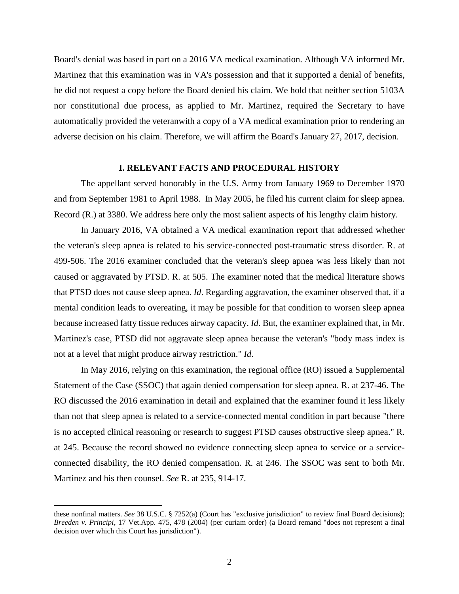Board's denial was based in part on a 2016 VA medical examination. Although VA informed Mr. Martinez that this examination was in VA's possession and that it supported a denial of benefits, he did not request a copy before the Board denied his claim. We hold that neither section 5103A nor constitutional due process, as applied to Mr. Martinez, required the Secretary to have automatically provided the veteranwith a copy of a VA medical examination prior to rendering an adverse decision on his claim. Therefore, we will affirm the Board's January 27, 2017, decision.

# **I. RELEVANT FACTS AND PROCEDURAL HISTORY**

The appellant served honorably in the U.S. Army from January 1969 to December 1970 and from September 1981 to April 1988. In May 2005, he filed his current claim for sleep apnea. Record (R.) at 3380. We address here only the most salient aspects of his lengthy claim history.

In January 2016, VA obtained a VA medical examination report that addressed whether the veteran's sleep apnea is related to his service-connected post-traumatic stress disorder. R. at 499-506. The 2016 examiner concluded that the veteran's sleep apnea was less likely than not caused or aggravated by PTSD. R. at 505. The examiner noted that the medical literature shows that PTSD does not cause sleep apnea. *Id*. Regarding aggravation, the examiner observed that, if a mental condition leads to overeating, it may be possible for that condition to worsen sleep apnea because increased fatty tissue reduces airway capacity. *Id*. But, the examiner explained that, in Mr. Martinez's case, PTSD did not aggravate sleep apnea because the veteran's "body mass index is not at a level that might produce airway restriction." *Id*.

In May 2016, relying on this examination, the regional office (RO) issued a Supplemental Statement of the Case (SSOC) that again denied compensation for sleep apnea. R. at 237-46. The RO discussed the 2016 examination in detail and explained that the examiner found it less likely than not that sleep apnea is related to a service-connected mental condition in part because "there is no accepted clinical reasoning or research to suggest PTSD causes obstructive sleep apnea." R. at 245. Because the record showed no evidence connecting sleep apnea to service or a serviceconnected disability, the RO denied compensation. R. at 246. The SSOC was sent to both Mr. Martinez and his then counsel. *See* R. at 235, 914-17.

these nonfinal matters. *See* 38 U.S.C. § 7252(a) (Court has "exclusive jurisdiction" to review final Board decisions); *Breeden v. Principi*, 17 Vet.App. 475, 478 (2004) (per curiam order) (a Board remand "does not represent a final decision over which this Court has jurisdiction").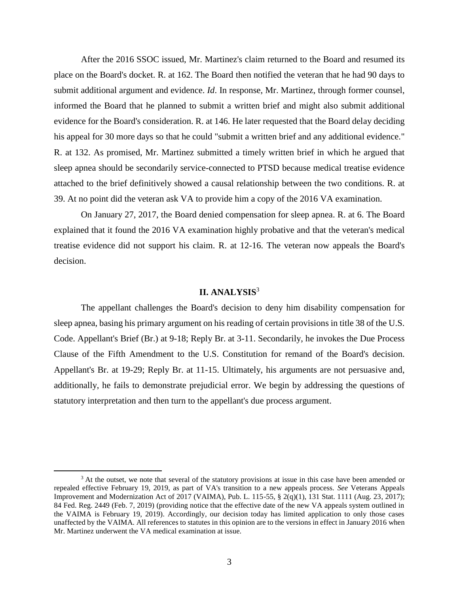After the 2016 SSOC issued, Mr. Martinez's claim returned to the Board and resumed its place on the Board's docket. R. at 162. The Board then notified the veteran that he had 90 days to submit additional argument and evidence. *Id*. In response, Mr. Martinez, through former counsel, informed the Board that he planned to submit a written brief and might also submit additional evidence for the Board's consideration. R. at 146. He later requested that the Board delay deciding his appeal for 30 more days so that he could "submit a written brief and any additional evidence." R. at 132. As promised, Mr. Martinez submitted a timely written brief in which he argued that sleep apnea should be secondarily service-connected to PTSD because medical treatise evidence attached to the brief definitively showed a causal relationship between the two conditions. R. at 39. At no point did the veteran ask VA to provide him a copy of the 2016 VA examination.

On January 27, 2017, the Board denied compensation for sleep apnea. R. at 6. The Board explained that it found the 2016 VA examination highly probative and that the veteran's medical treatise evidence did not support his claim. R. at 12-16. The veteran now appeals the Board's decision.

# **II. ANALYSIS** 3

The appellant challenges the Board's decision to deny him disability compensation for sleep apnea, basing his primary argument on his reading of certain provisions in title 38 of the U.S. Code. Appellant's Brief (Br.) at 9-18; Reply Br. at 3-11. Secondarily, he invokes the Due Process Clause of the Fifth Amendment to the U.S. Constitution for remand of the Board's decision. Appellant's Br. at 19-29; Reply Br. at 11-15. Ultimately, his arguments are not persuasive and, additionally, he fails to demonstrate prejudicial error. We begin by addressing the questions of statutory interpretation and then turn to the appellant's due process argument.

<sup>&</sup>lt;sup>3</sup> At the outset, we note that several of the statutory provisions at issue in this case have been amended or repealed effective February 19, 2019, as part of VA's transition to a new appeals process. *See* Veterans Appeals Improvement and Modernization Act of 2017 (VAIMA), Pub. L. 115-55, § 2(q)(1), 131 Stat. 1111 (Aug. 23, 2017); 84 Fed. Reg. 2449 (Feb. 7, 2019) (providing notice that the effective date of the new VA appeals system outlined in the VAIMA is February 19, 2019). Accordingly, our decision today has limited application to only those cases unaffected by the VAIMA. All references to statutes in this opinion are to the versions in effect in January 2016 when Mr. Martinez underwent the VA medical examination at issue.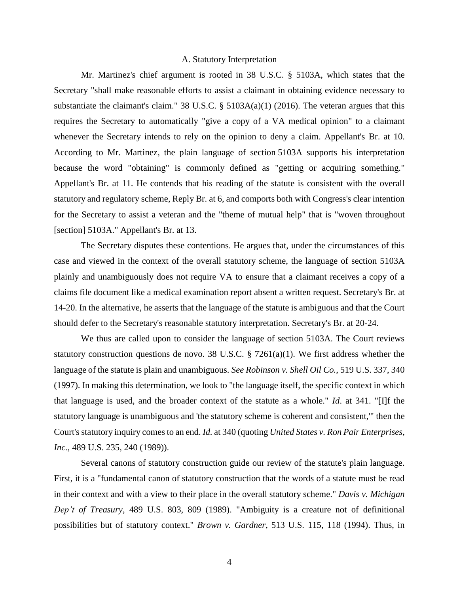#### A. Statutory Interpretation

Mr. Martinez's chief argument is rooted in 38 U.S.C. § 5103A, which states that the Secretary "shall make reasonable efforts to assist a claimant in obtaining evidence necessary to substantiate the claimant's claim." 38 U.S.C. § 5103A(a)(1) (2016). The veteran argues that this requires the Secretary to automatically "give a copy of a VA medical opinion" to a claimant whenever the Secretary intends to rely on the opinion to deny a claim. Appellant's Br. at 10. According to Mr. Martinez, the plain language of section 5103A supports his interpretation because the word "obtaining" is commonly defined as "getting or acquiring something." Appellant's Br. at 11. He contends that his reading of the statute is consistent with the overall statutory and regulatory scheme, Reply Br. at 6, and comports both with Congress's clear intention for the Secretary to assist a veteran and the "theme of mutual help" that is "woven throughout [section] 5103A." Appellant's Br. at 13.

The Secretary disputes these contentions. He argues that, under the circumstances of this case and viewed in the context of the overall statutory scheme, the language of section 5103A plainly and unambiguously does not require VA to ensure that a claimant receives a copy of a claims file document like a medical examination report absent a written request. Secretary's Br. at 14-20. In the alternative, he asserts that the language of the statute is ambiguous and that the Court should defer to the Secretary's reasonable statutory interpretation. Secretary's Br. at 20-24.

We thus are called upon to consider the language of section 5103A. The Court reviews statutory construction questions de novo. 38 U.S.C. § 7261(a)(1). We first address whether the language of the statute is plain and unambiguous. *See Robinson v. Shell Oil Co.*, 519 U.S. 337, 340 (1997). In making this determination, we look to "the language itself, the specific context in which that language is used, and the broader context of the statute as a whole." *Id*. at 341. "[I]f the statutory language is unambiguous and 'the statutory scheme is coherent and consistent,'" then the Court's statutory inquiry comes to an end. *Id.* at 340 (quoting *United States v. Ron Pair Enterprises, Inc.*, 489 U.S. 235, 240 (1989)).

Several canons of statutory construction guide our review of the statute's plain language. First, it is a "fundamental canon of statutory construction that the words of a statute must be read in their context and with a view to their place in the overall statutory scheme." *Davis v. Michigan Dep't of Treasury*, 489 U.S. 803, 809 (1989). "Ambiguity is a creature not of definitional possibilities but of statutory context." *Brown v. Gardner*, 513 U.S. 115, 118 (1994). Thus, in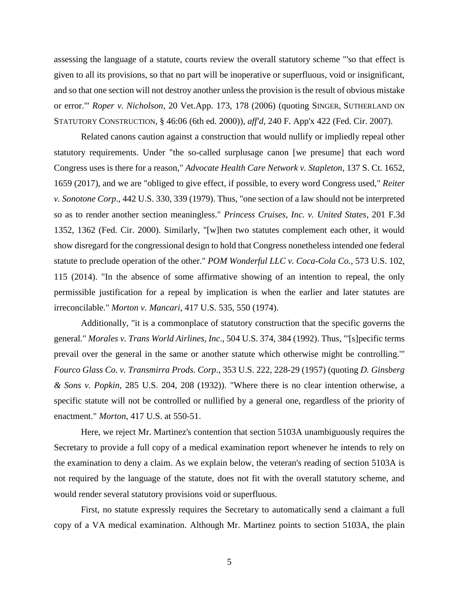assessing the language of a statute, courts review the overall statutory scheme "'so that effect is given to all its provisions, so that no part will be inoperative or superfluous, void or insignificant, and so that one section will not destroy another unless the provision is the result of obvious mistake or error.'" *Roper v. Nicholson*, 20 Vet.App. 173, 178 (2006) (quoting SINGER, SUTHERLAND ON STATUTORY CONSTRUCTION, § 46:06 (6th ed. 2000)), *aff'd*, 240 F. App'x 422 (Fed. Cir. 2007).

Related canons caution against a construction that would nullify or impliedly repeal other statutory requirements. Under "the so-called surplusage canon [we presume] that each word Congress uses is there for a reason," *Advocate Health Care Network v. Stapleton*, 137 S. Ct. 1652, 1659 (2017), and we are "obliged to give effect, if possible, to every word Congress used," *Reiter v. Sonotone Corp*., 442 U.S. 330, 339 (1979). Thus, "one section of a law should not be interpreted so as to render another section meaningless." *Princess Cruises, Inc. v. United States*, 201 F.3d 1352, 1362 (Fed. Cir. 2000). Similarly, "[w]hen two statutes complement each other, it would show disregard for the congressional design to hold that Congress nonetheless intended one federal statute to preclude operation of the other." *POM Wonderful LLC v. Coca-Cola Co.*, 573 U.S. 102, 115 (2014). "In the absence of some affirmative showing of an intention to repeal, the only permissible justification for a repeal by implication is when the earlier and later statutes are irreconcilable." *Morton v. Mancari*, 417 U.S. 535, 550 (1974).

Additionally, "it is a commonplace of statutory construction that the specific governs the general." *Morales v. Trans World Airlines, Inc*., 504 U.S. 374, 384 (1992). Thus, "'[s]pecific terms prevail over the general in the same or another statute which otherwise might be controlling.'" *Fourco Glass Co. v. Transmirra Prods. Corp*., 353 U.S. 222, 228-29 (1957) (quoting *D. Ginsberg & Sons v. Popkin*, 285 U.S. 204, 208 (1932)). "Where there is no clear intention otherwise, a specific statute will not be controlled or nullified by a general one, regardless of the priority of enactment." *Morton*, 417 U.S. at 550-51.

Here, we reject Mr. Martinez's contention that section 5103A unambiguously requires the Secretary to provide a full copy of a medical examination report whenever he intends to rely on the examination to deny a claim. As we explain below, the veteran's reading of section 5103A is not required by the language of the statute, does not fit with the overall statutory scheme, and would render several statutory provisions void or superfluous.

First, no statute expressly requires the Secretary to automatically send a claimant a full copy of a VA medical examination. Although Mr. Martinez points to section 5103A, the plain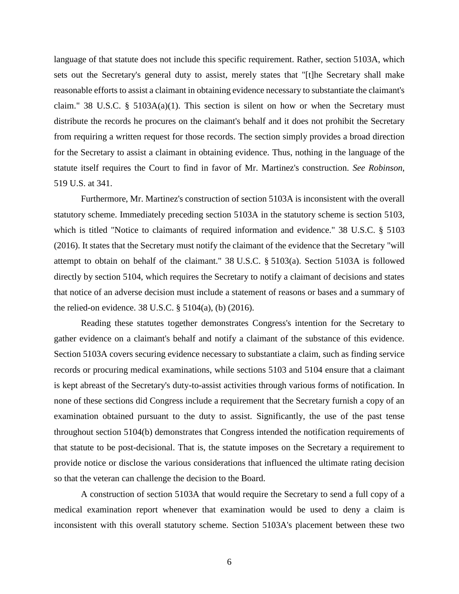language of that statute does not include this specific requirement. Rather, section 5103A, which sets out the Secretary's general duty to assist, merely states that "[t]he Secretary shall make reasonable efforts to assist a claimant in obtaining evidence necessary to substantiate the claimant's claim." 38 U.S.C. §  $5103A(a)(1)$ . This section is silent on how or when the Secretary must distribute the records he procures on the claimant's behalf and it does not prohibit the Secretary from requiring a written request for those records. The section simply provides a broad direction for the Secretary to assist a claimant in obtaining evidence. Thus, nothing in the language of the statute itself requires the Court to find in favor of Mr. Martinez's construction. *See Robinson*, 519 U.S. at 341.

Furthermore, Mr. Martinez's construction of section 5103A is inconsistent with the overall statutory scheme. Immediately preceding section 5103A in the statutory scheme is section 5103, which is titled "Notice to claimants of required information and evidence." 38 U.S.C. § 5103 (2016). It states that the Secretary must notify the claimant of the evidence that the Secretary "will attempt to obtain on behalf of the claimant." 38 U.S.C. § 5103(a). Section 5103A is followed directly by section 5104, which requires the Secretary to notify a claimant of decisions and states that notice of an adverse decision must include a statement of reasons or bases and a summary of the relied-on evidence. 38 U.S.C. § 5104(a), (b) (2016).

Reading these statutes together demonstrates Congress's intention for the Secretary to gather evidence on a claimant's behalf and notify a claimant of the substance of this evidence. Section 5103A covers securing evidence necessary to substantiate a claim, such as finding service records or procuring medical examinations, while sections 5103 and 5104 ensure that a claimant is kept abreast of the Secretary's duty-to-assist activities through various forms of notification. In none of these sections did Congress include a requirement that the Secretary furnish a copy of an examination obtained pursuant to the duty to assist. Significantly, the use of the past tense throughout section 5104(b) demonstrates that Congress intended the notification requirements of that statute to be post-decisional. That is, the statute imposes on the Secretary a requirement to provide notice or disclose the various considerations that influenced the ultimate rating decision so that the veteran can challenge the decision to the Board.

A construction of section 5103A that would require the Secretary to send a full copy of a medical examination report whenever that examination would be used to deny a claim is inconsistent with this overall statutory scheme. Section 5103A's placement between these two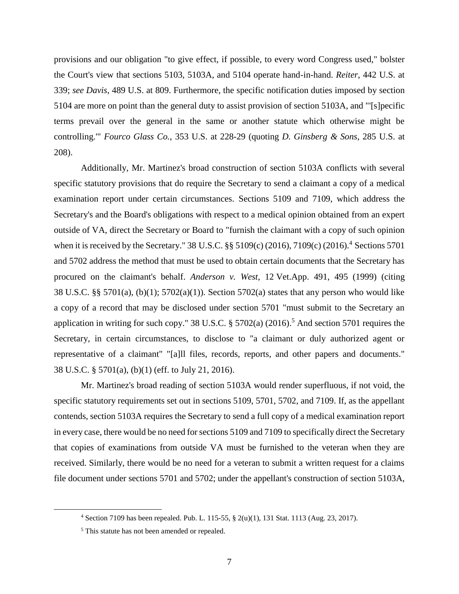provisions and our obligation "to give effect, if possible, to every word Congress used," bolster the Court's view that sections 5103, 5103A, and 5104 operate hand-in-hand. *Reiter*, 442 U.S. at 339; *see Davis*, 489 U.S. at 809. Furthermore, the specific notification duties imposed by section 5104 are more on point than the general duty to assist provision of section 5103A, and "'[s]pecific terms prevail over the general in the same or another statute which otherwise might be controlling.'" *Fourco Glass Co.*, 353 U.S. at 228-29 (quoting *D. Ginsberg & Sons*, 285 U.S. at 208).

Additionally, Mr. Martinez's broad construction of section 5103A conflicts with several specific statutory provisions that do require the Secretary to send a claimant a copy of a medical examination report under certain circumstances. Sections 5109 and 7109, which address the Secretary's and the Board's obligations with respect to a medical opinion obtained from an expert outside of VA, direct the Secretary or Board to "furnish the claimant with a copy of such opinion when it is received by the Secretary." 38 U.S.C. §§ 5109(c) (2016), 7109(c) (2016).<sup>4</sup> Sections 5701 and 5702 address the method that must be used to obtain certain documents that the Secretary has procured on the claimant's behalf. *Anderson v. West*, 12 Vet.App. 491, 495 (1999) (citing 38 U.S.C. §§ 5701(a), (b)(1); 5702(a)(1)). Section 5702(a) states that any person who would like a copy of a record that may be disclosed under section 5701 "must submit to the Secretary an application in writing for such copy." 38 U.S.C.  $\S 5702(a)$  (2016).<sup>5</sup> And section 5701 requires the Secretary, in certain circumstances, to disclose to "a claimant or duly authorized agent or representative of a claimant" "[a]ll files, records, reports, and other papers and documents." 38 U.S.C. § 5701(a), (b)(1) (eff. to July 21, 2016).

Mr. Martinez's broad reading of section 5103A would render superfluous, if not void, the specific statutory requirements set out in sections 5109, 5701, 5702, and 7109. If, as the appellant contends, section 5103A requires the Secretary to send a full copy of a medical examination report in every case, there would be no need for sections 5109 and 7109 to specifically direct the Secretary that copies of examinations from outside VA must be furnished to the veteran when they are received. Similarly, there would be no need for a veteran to submit a written request for a claims file document under sections 5701 and 5702; under the appellant's construction of section 5103A,

<sup>4</sup> Section 7109 has been repealed. Pub. L. 115-55, § 2(u)(1), 131 Stat. 1113 (Aug. 23, 2017).

<sup>&</sup>lt;sup>5</sup> This statute has not been amended or repealed.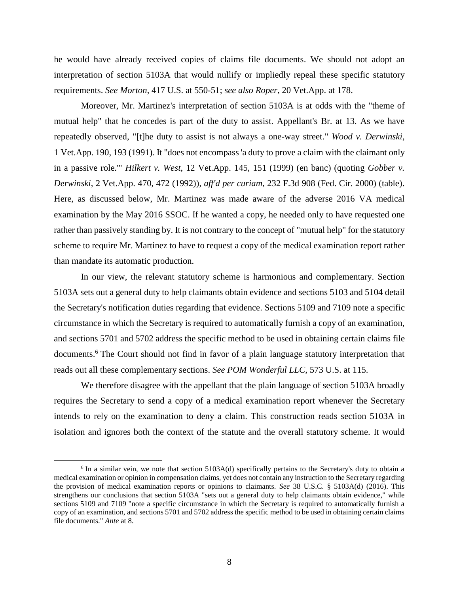he would have already received copies of claims file documents. We should not adopt an interpretation of section 5103A that would nullify or impliedly repeal these specific statutory requirements. *See Morton*, 417 U.S. at 550-51; *see also Roper*, 20 Vet.App. at 178.

Moreover, Mr. Martinez's interpretation of section 5103A is at odds with the "theme of mutual help" that he concedes is part of the duty to assist. Appellant's Br. at 13. As we have repeatedly observed, "[t]he duty to assist is not always a one-way street." *Wood v. Derwinski*, 1 Vet.App. 190, 193 (1991). It "does not encompass 'a duty to prove a claim with the claimant only in a passive role.'" *Hilkert v. West*, 12 Vet.App. 145, 151 (1999) (en banc) (quoting *Gobber v. Derwinski*, 2 Vet.App. 470, 472 (1992)), *aff'd per curiam*, 232 F.3d 908 (Fed. Cir. 2000) (table). Here, as discussed below, Mr. Martinez was made aware of the adverse 2016 VA medical examination by the May 2016 SSOC. If he wanted a copy, he needed only to have requested one rather than passively standing by. It is not contrary to the concept of "mutual help" for the statutory scheme to require Mr. Martinez to have to request a copy of the medical examination report rather than mandate its automatic production.

In our view, the relevant statutory scheme is harmonious and complementary. Section 5103A sets out a general duty to help claimants obtain evidence and sections 5103 and 5104 detail the Secretary's notification duties regarding that evidence. Sections 5109 and 7109 note a specific circumstance in which the Secretary is required to automatically furnish a copy of an examination, and sections 5701 and 5702 address the specific method to be used in obtaining certain claims file documents.<sup>6</sup> The Court should not find in favor of a plain language statutory interpretation that reads out all these complementary sections. *See POM Wonderful LLC*, 573 U.S. at 115.

We therefore disagree with the appellant that the plain language of section 5103A broadly requires the Secretary to send a copy of a medical examination report whenever the Secretary intends to rely on the examination to deny a claim. This construction reads section 5103A in isolation and ignores both the context of the statute and the overall statutory scheme. It would

<sup>&</sup>lt;sup>6</sup> In a similar vein, we note that section 5103A(d) specifically pertains to the Secretary's duty to obtain a medical examination or opinion in compensation claims, yet does not contain any instruction to the Secretary regarding the provision of medical examination reports or opinions to claimants. *See* 38 U.S.C. § 5103A(d) (2016). This strengthens our conclusions that section 5103A "sets out a general duty to help claimants obtain evidence," while sections 5109 and 7109 "note a specific circumstance in which the Secretary is required to automatically furnish a copy of an examination, and sections 5701 and 5702 address the specific method to be used in obtaining certain claims file documents." *Ante* at 8.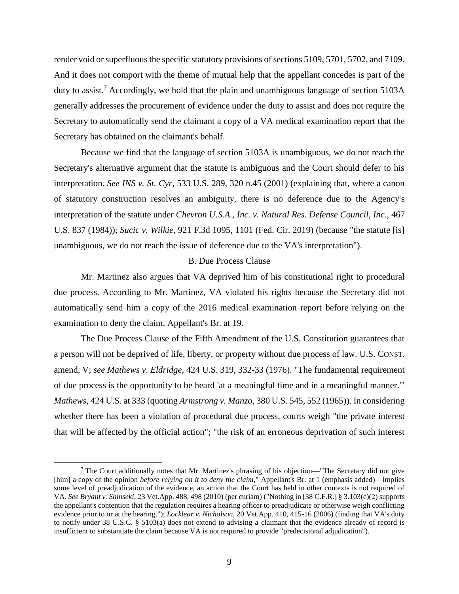render void or superfluous the specific statutory provisions of sections 5109, 5701, 5702, and 7109. And it does not comport with the theme of mutual help that the appellant concedes is part of the duty to assist.<sup>7</sup> Accordingly, we hold that the plain and unambiguous language of section 5103A generally addresses the procurement of evidence under the duty to assist and does not require the Secretary to automatically send the claimant a copy of a VA medical examination report that the Secretary has obtained on the claimant's behalf.

Because we find that the language of section 5103A is unambiguous, we do not reach the Secretary's alternative argument that the statute is ambiguous and the Court should defer to his interpretation. *See INS v. St. Cyr*, 533 U.S. 289, 320 n.45 (2001) (explaining that, where a canon of statutory construction resolves an ambiguity, there is no deference due to the Agency's interpretation of the statute under *Chevron U.S.A., Inc. v. Natural Res. Defense Council, Inc.*, 467 U.S. 837 (1984)); *Sucic v. Wilkie*, 921 F.3d 1095, 1101 (Fed. Cir. 2019) (because "the statute [is] unambiguous, we do not reach the issue of deference due to the VA's interpretation").

# B. Due Process Clause

Mr. Martinez also argues that VA deprived him of his constitutional right to procedural due process. According to Mr. Martinez, VA violated his rights because the Secretary did not automatically send him a copy of the 2016 medical examination report before relying on the examination to deny the claim. Appellant's Br. at 19.

The Due Process Clause of the Fifth Amendment of the U.S. Constitution guarantees that a person will not be deprived of life, liberty, or property without due process of law. U.S. CONST. amend. V; *see Mathews v. Eldridge*, 424 U.S. 319, 332-33 (1976). "The fundamental requirement of due process is the opportunity to be heard 'at a meaningful time and in a meaningful manner.'" *Mathews*, 424 U.S. at 333 (quoting *Armstrong v. Manzo*, 380 U.S. 545, 552 (1965)). In considering whether there has been a violation of procedural due process, courts weigh "the private interest that will be affected by the official action"; "the risk of an erroneous deprivation of such interest

<sup>7</sup> The Court additionally notes that Mr. Martinez's phrasing of his objection—"The Secretary did not give [him] a copy of the opinion *before relying on it to deny the claim*," Appellant's Br. at 1 (emphasis added)—implies some level of preadjudication of the evidence, an action that the Court has held in other contexts is not required of VA. *See Bryant v. Shinseki*, 23 Vet.App. 488, 498 (2010) (per curiam) ("Nothing in [38 C.F.R.] § 3.103(c)(2) supports the appellant's contention that the regulation requires a hearing officer to preadjudicate or otherwise weigh conflicting evidence prior to or at the hearing."); *Locklear v. Nicholson*, 20 Vet.App. 410, 415-16 (2006) (finding that VA's duty to notify under 38 U.S.C. § 5103(a) does not extend to advising a claimant that the evidence already of record is insufficient to substantiate the claim because VA is not required to provide "predecisional adjudication").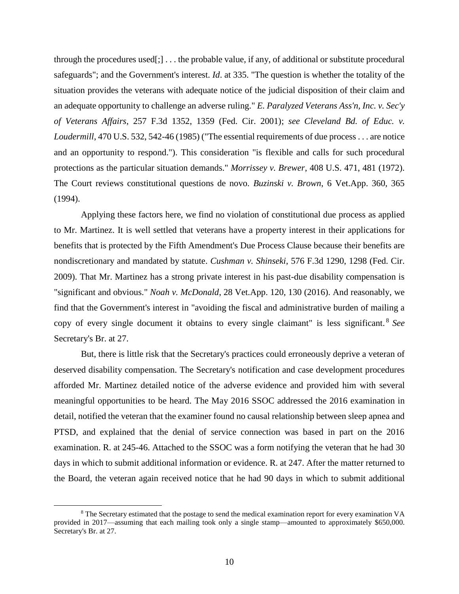through the procedures used $[\cdot]$ ... the probable value, if any, of additional or substitute procedural safeguards"; and the Government's interest. *Id*. at 335. "The question is whether the totality of the situation provides the veterans with adequate notice of the judicial disposition of their claim and an adequate opportunity to challenge an adverse ruling." *E. Paralyzed Veterans Ass'n, Inc. v. Sec'y of Veterans Affairs*, 257 F.3d 1352, 1359 (Fed. Cir. 2001); *see Cleveland Bd. of Educ. v. Loudermill*, 470 U.S. 532, 542-46 (1985) ("The essential requirements of due process . . . are notice and an opportunity to respond."). This consideration "is flexible and calls for such procedural protections as the particular situation demands." *Morrissey v. Brewer*, 408 U.S. 471, 481 (1972). The Court reviews constitutional questions de novo*. Buzinski v. Brown*, 6 Vet.App. 360, 365 (1994).

Applying these factors here, we find no violation of constitutional due process as applied to Mr. Martinez. It is well settled that veterans have a property interest in their applications for benefits that is protected by the Fifth Amendment's Due Process Clause because their benefits are nondiscretionary and mandated by statute. *Cushman v. Shinseki*, 576 F.3d 1290, 1298 (Fed. Cir. 2009). That Mr. Martinez has a strong private interest in his past-due disability compensation is "significant and obvious." *Noah v. McDonald*, 28 Vet.App. 120, 130 (2016). And reasonably, we find that the Government's interest in "avoiding the fiscal and administrative burden of mailing a copy of every single document it obtains to every single claimant" is less significant. <sup>8</sup> *See*  Secretary's Br. at 27.

But, there is little risk that the Secretary's practices could erroneously deprive a veteran of deserved disability compensation. The Secretary's notification and case development procedures afforded Mr. Martinez detailed notice of the adverse evidence and provided him with several meaningful opportunities to be heard. The May 2016 SSOC addressed the 2016 examination in detail, notified the veteran that the examiner found no causal relationship between sleep apnea and PTSD, and explained that the denial of service connection was based in part on the 2016 examination. R. at 245-46. Attached to the SSOC was a form notifying the veteran that he had 30 days in which to submit additional information or evidence. R. at 247. After the matter returned to the Board, the veteran again received notice that he had 90 days in which to submit additional

<sup>8</sup> The Secretary estimated that the postage to send the medical examination report for every examination VA provided in 2017—assuming that each mailing took only a single stamp—amounted to approximately \$650,000. Secretary's Br. at 27.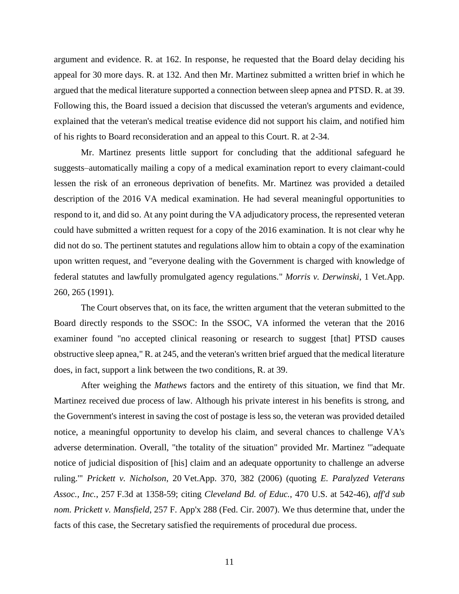argument and evidence. R. at 162. In response, he requested that the Board delay deciding his appeal for 30 more days. R. at 132. And then Mr. Martinez submitted a written brief in which he argued that the medical literature supported a connection between sleep apnea and PTSD. R. at 39. Following this, the Board issued a decision that discussed the veteran's arguments and evidence, explained that the veteran's medical treatise evidence did not support his claim, and notified him of his rights to Board reconsideration and an appeal to this Court. R. at 2-34.

Mr. Martinez presents little support for concluding that the additional safeguard he suggests–automatically mailing a copy of a medical examination report to every claimant-could lessen the risk of an erroneous deprivation of benefits. Mr. Martinez was provided a detailed description of the 2016 VA medical examination. He had several meaningful opportunities to respond to it, and did so. At any point during the VA adjudicatory process, the represented veteran could have submitted a written request for a copy of the 2016 examination. It is not clear why he did not do so. The pertinent statutes and regulations allow him to obtain a copy of the examination upon written request, and "everyone dealing with the Government is charged with knowledge of federal statutes and lawfully promulgated agency regulations." *Morris v. Derwinski*, 1 Vet.App. 260, 265 (1991).

The Court observes that, on its face, the written argument that the veteran submitted to the Board directly responds to the SSOC: In the SSOC, VA informed the veteran that the 2016 examiner found "no accepted clinical reasoning or research to suggest [that] PTSD causes obstructive sleep apnea," R. at 245, and the veteran's written brief argued that the medical literature does, in fact, support a link between the two conditions, R. at 39.

After weighing the *Mathews* factors and the entirety of this situation, we find that Mr. Martinez received due process of law. Although his private interest in his benefits is strong, and the Government's interest in saving the cost of postage is less so, the veteran was provided detailed notice, a meaningful opportunity to develop his claim, and several chances to challenge VA's adverse determination. Overall, "the totality of the situation" provided Mr. Martinez "'adequate notice of judicial disposition of [his] claim and an adequate opportunity to challenge an adverse ruling.'" *Prickett v. Nicholson*, 20 Vet.App. 370, 382 (2006) (quoting *E. Paralyzed Veterans Assoc., Inc.*, 257 F.3d at 1358-59; citing *Cleveland Bd. of Educ.*, 470 U.S. at 542-46), *aff'd sub nom. Prickett v. Mansfield*, 257 F. App'x 288 (Fed. Cir. 2007). We thus determine that, under the facts of this case, the Secretary satisfied the requirements of procedural due process.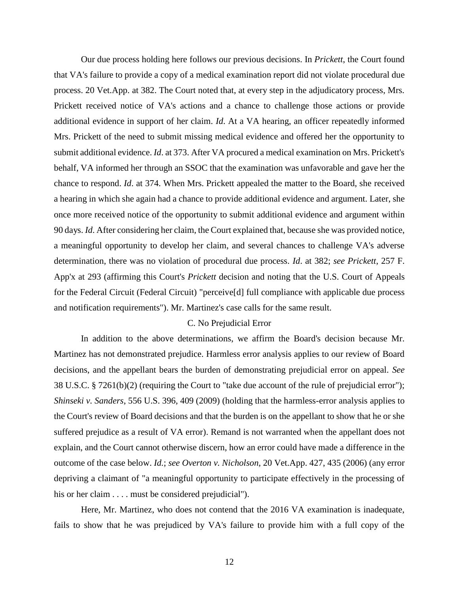Our due process holding here follows our previous decisions. In *Prickett*, the Court found that VA's failure to provide a copy of a medical examination report did not violate procedural due process. 20 Vet.App. at 382. The Court noted that, at every step in the adjudicatory process, Mrs. Prickett received notice of VA's actions and a chance to challenge those actions or provide additional evidence in support of her claim. *Id*. At a VA hearing, an officer repeatedly informed Mrs. Prickett of the need to submit missing medical evidence and offered her the opportunity to submit additional evidence. *Id*. at 373. After VA procured a medical examination on Mrs. Prickett's behalf, VA informed her through an SSOC that the examination was unfavorable and gave her the chance to respond. *Id*. at 374. When Mrs. Prickett appealed the matter to the Board, she received a hearing in which she again had a chance to provide additional evidence and argument. Later, she once more received notice of the opportunity to submit additional evidence and argument within 90 days. *Id*. After considering her claim, the Court explained that, because she was provided notice, a meaningful opportunity to develop her claim, and several chances to challenge VA's adverse determination, there was no violation of procedural due process. *Id*. at 382; *see Prickett*, 257 F. App'x at 293 (affirming this Court's *Prickett* decision and noting that the U.S. Court of Appeals for the Federal Circuit (Federal Circuit) "perceive[d] full compliance with applicable due process and notification requirements"). Mr. Martinez's case calls for the same result.

# C. No Prejudicial Error

In addition to the above determinations, we affirm the Board's decision because Mr. Martinez has not demonstrated prejudice. Harmless error analysis applies to our review of Board decisions, and the appellant bears the burden of demonstrating prejudicial error on appeal. *See* 38 U.S.C. § 7261(b)(2) (requiring the Court to "take due account of the rule of prejudicial error"); *Shinseki v. Sanders*, 556 U.S. 396, 409 (2009) (holding that the harmless-error analysis applies to the Court's review of Board decisions and that the burden is on the appellant to show that he or she suffered prejudice as a result of VA error). Remand is not warranted when the appellant does not explain, and the Court cannot otherwise discern, how an error could have made a difference in the outcome of the case below. *Id.*; *see Overton v. Nicholson*, 20 Vet.App. 427, 435 (2006) (any error depriving a claimant of "a meaningful opportunity to participate effectively in the processing of his or her claim . . . . must be considered prejudicial").

Here, Mr. Martinez, who does not contend that the 2016 VA examination is inadequate, fails to show that he was prejudiced by VA's failure to provide him with a full copy of the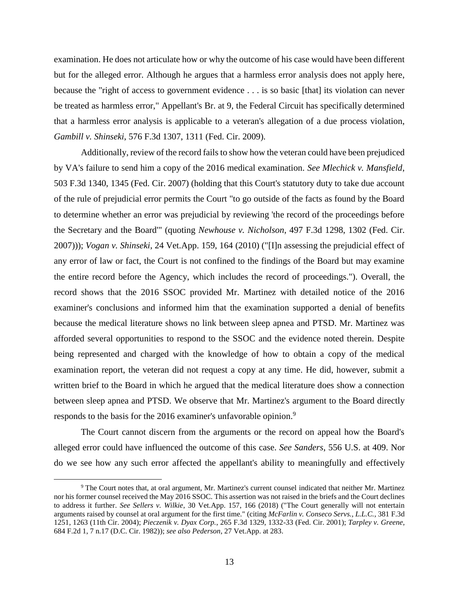examination. He does not articulate how or why the outcome of his case would have been different but for the alleged error. Although he argues that a harmless error analysis does not apply here, because the "right of access to government evidence . . . is so basic [that] its violation can never be treated as harmless error," Appellant's Br. at 9, the Federal Circuit has specifically determined that a harmless error analysis is applicable to a veteran's allegation of a due process violation, *Gambill v. Shinseki*, 576 F.3d 1307, 1311 (Fed. Cir. 2009).

Additionally, review of the record fails to show how the veteran could have been prejudiced by VA's failure to send him a copy of the 2016 medical examination. *See Mlechick v. Mansfield*, 503 F.3d 1340, 1345 (Fed. Cir. 2007) (holding that this Court's statutory duty to take due account of the rule of prejudicial error permits the Court "to go outside of the facts as found by the Board to determine whether an error was prejudicial by reviewing 'the record of the proceedings before the Secretary and the Board'" (quoting *Newhouse v. Nicholson*, 497 F.3d 1298, 1302 (Fed. Cir. 2007))); *Vogan v. Shinseki*, 24 Vet.App. 159, 164 (2010) ("[I]n assessing the prejudicial effect of any error of law or fact, the Court is not confined to the findings of the Board but may examine the entire record before the Agency, which includes the record of proceedings."). Overall, the record shows that the 2016 SSOC provided Mr. Martinez with detailed notice of the 2016 examiner's conclusions and informed him that the examination supported a denial of benefits because the medical literature shows no link between sleep apnea and PTSD. Mr. Martinez was afforded several opportunities to respond to the SSOC and the evidence noted therein. Despite being represented and charged with the knowledge of how to obtain a copy of the medical examination report, the veteran did not request a copy at any time. He did, however, submit a written brief to the Board in which he argued that the medical literature does show a connection between sleep apnea and PTSD. We observe that Mr. Martinez's argument to the Board directly responds to the basis for the 2016 examiner's unfavorable opinion.<sup>9</sup>

The Court cannot discern from the arguments or the record on appeal how the Board's alleged error could have influenced the outcome of this case. *See Sanders*, 556 U.S. at 409. Nor do we see how any such error affected the appellant's ability to meaningfully and effectively

<sup>9</sup> The Court notes that, at oral argument, Mr. Martinez's current counsel indicated that neither Mr. Martinez nor his former counsel received the May 2016 SSOC. This assertion was not raised in the briefs and the Court declines to address it further. *See Sellers v. Wilkie*, 30 Vet.App. 157, 166 (2018) ("The Court generally will not entertain arguments raised by counsel at oral argument for the first time." (citing *McFarlin v. Conseco Servs., L.L.C.*, 381 F.3d 1251, 1263 (11th Cir. 2004); *Pieczenik v. Dyax Corp.*, 265 F.3d 1329, 1332-33 (Fed. Cir. 2001); *Tarpley v. Greene*, 684 F.2d 1, 7 n.17 (D.C. Cir. 1982)); *see also Pederson*, 27 Vet.App. at 283.